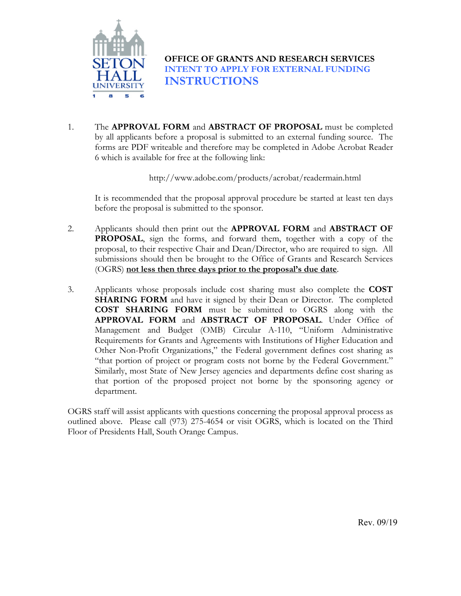

**OFFICE OF GRANTS AND RESEARCH SERVICES INTENT TO APPLY FOR EXTERNAL FUNDING INSTRUCTIONS** 

1. The **APPROVAL FORM** and **ABSTRACT OF PROPOSAL** must be completed by all applicants before a proposal is submitted to an external funding source. The forms are PDF writeable and therefore may be completed in Adobe Acrobat Reader 6 which is available for free at the following link:

http://www.adobe.com/products/acrobat/readermain.html

It is recommended that the proposal approval procedure be started at least ten days before the proposal is submitted to the sponsor.

- 2. Applicants should then print out the **APPROVAL FORM** and **ABSTRACT OF PROPOSAL**, sign the forms, and forward them, together with a copy of the proposal, to their respective Chair and Dean/Director, who are required to sign. All submissions should then be brought to the Office of Grants and Research Services (OGRS) **not less then three days prior to the proposal's due date**.
- 3. Applicants whose proposals include cost sharing must also complete the **COST SHARING FORM** and have it signed by their Dean or Director. The completed **COST SHARING FORM** must be submitted to OGRS along with the **APPROVAL FORM** and **ABSTRACT OF PROPOSAL**. Under Office of Management and Budget (OMB) Circular A-110, "Uniform Administrative Requirements for Grants and Agreements with Institutions of Higher Education and Other Non-Profit Organizations," the Federal government defines cost sharing as "that portion of project or program costs not borne by the Federal Government." Similarly, most State of New Jersey agencies and departments define cost sharing as that portion of the proposed project not borne by the sponsoring agency or department.

OGRS staff will assist applicants with questions concerning the proposal approval process as outlined above. Please call (973) 275-4654 or visit OGRS, which is located on the Third Floor of Presidents Hall, South Orange Campus.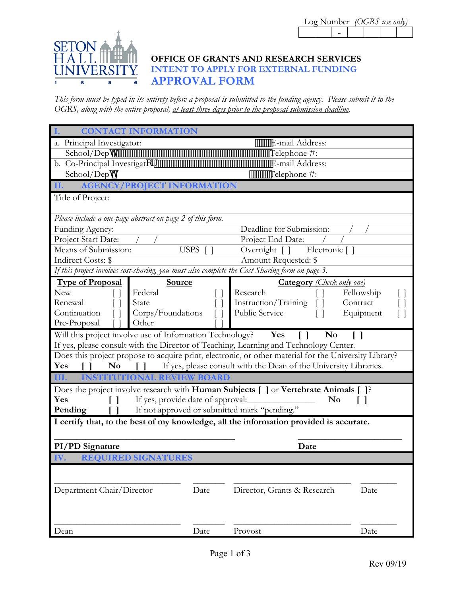

## **OFFICE OF GRANTS AND RESEARCH SERVICES INTENT TO APPLY FOR EXTERNAL FUNDING APPROVAL FORM**

*This form must be typed in its entirety before a proposal is submitted to the funding agency. Please submit it to the OGRS, along with the entire proposal, at least three days prior to the proposal submission deadline.* 

|                                                                                | <b>CONTACT INFORMATION</b>                                 |                                                                                                                             |            |  |  |  |  |  |
|--------------------------------------------------------------------------------|------------------------------------------------------------|-----------------------------------------------------------------------------------------------------------------------------|------------|--|--|--|--|--|
|                                                                                |                                                            |                                                                                                                             |            |  |  |  |  |  |
| a. Principal Investigator:                                                     |                                                            | E-mail Address:                                                                                                             |            |  |  |  |  |  |
| School/Deph                                                                    |                                                            | Telephone #:                                                                                                                |            |  |  |  |  |  |
| b. Co-Principal Investigatcf.                                                  |                                                            | E-mail Address:                                                                                                             |            |  |  |  |  |  |
| School/Deph                                                                    |                                                            | Telephone #:                                                                                                                |            |  |  |  |  |  |
| II.                                                                            | <b>AGENCY/PROJECT INFORMATION</b>                          |                                                                                                                             |            |  |  |  |  |  |
| Title of Project:                                                              |                                                            |                                                                                                                             |            |  |  |  |  |  |
|                                                                                |                                                            |                                                                                                                             |            |  |  |  |  |  |
|                                                                                | Please include a one-page abstract on page 2 of this form. |                                                                                                                             |            |  |  |  |  |  |
| Funding Agency:                                                                |                                                            | Deadline for Submission:                                                                                                    |            |  |  |  |  |  |
| Project Start Date:                                                            |                                                            | Project End Date:                                                                                                           |            |  |  |  |  |  |
| Means of Submission:                                                           | <b>USPS</b>                                                | Overnight $\Box$<br>Electronic [                                                                                            |            |  |  |  |  |  |
| Indirect Costs: \$                                                             |                                                            | Amount Requested: \$                                                                                                        |            |  |  |  |  |  |
|                                                                                |                                                            | If this project involves cost-sharing, you must also complete the Cost Sharing form on page 3.                              |            |  |  |  |  |  |
| <b>Type of Proposal</b>                                                        | Source                                                     | <b>Category</b> (Check only one)                                                                                            |            |  |  |  |  |  |
| <b>New</b>                                                                     | Federal                                                    | Research                                                                                                                    | Fellowship |  |  |  |  |  |
| Renewal                                                                        | State                                                      | Instruction/Training                                                                                                        | Contract   |  |  |  |  |  |
| Continuation                                                                   | Corps/Foundations                                          | Public Service                                                                                                              | Equipment  |  |  |  |  |  |
| Pre-Proposal                                                                   | Other                                                      |                                                                                                                             |            |  |  |  |  |  |
|                                                                                | Will this project involve use of Information Technology?   | Yes<br>N <sub>0</sub>                                                                                                       |            |  |  |  |  |  |
|                                                                                |                                                            | If yes, please consult with the Director of Teaching, Learning and Technology Center.                                       |            |  |  |  |  |  |
|                                                                                |                                                            | Does this project propose to acquire print, electronic, or other material for the University Library?                       |            |  |  |  |  |  |
| If yes, please consult with the Dean of the University Libraries.<br>No<br>Yes |                                                            |                                                                                                                             |            |  |  |  |  |  |
| III.<br><b>INSTITUTIONAL REVIEW BOARD</b>                                      |                                                            |                                                                                                                             |            |  |  |  |  |  |
|                                                                                |                                                            |                                                                                                                             |            |  |  |  |  |  |
|                                                                                |                                                            |                                                                                                                             |            |  |  |  |  |  |
| Yes                                                                            | If yes, provide date of approval:                          | Does the project involve research with <b>Human Subjects</b> $\Box$ or <b>Vertebrate Animals</b> $\Box$ ?<br>N <sub>0</sub> |            |  |  |  |  |  |
| Pending                                                                        | If not approved or submitted mark "pending."               |                                                                                                                             |            |  |  |  |  |  |
|                                                                                |                                                            |                                                                                                                             |            |  |  |  |  |  |
|                                                                                |                                                            | I certify that, to the best of my knowledge, all the information provided is accurate.                                      |            |  |  |  |  |  |
|                                                                                |                                                            |                                                                                                                             |            |  |  |  |  |  |
| PI/PD Signature                                                                |                                                            | Date                                                                                                                        |            |  |  |  |  |  |
| IV.                                                                            | <b>REQUIRED SIGNATURES</b>                                 |                                                                                                                             |            |  |  |  |  |  |
|                                                                                |                                                            |                                                                                                                             |            |  |  |  |  |  |
|                                                                                |                                                            |                                                                                                                             |            |  |  |  |  |  |
| Department Chair/Director                                                      | Date                                                       | Director, Grants & Research                                                                                                 | Date       |  |  |  |  |  |
|                                                                                |                                                            |                                                                                                                             |            |  |  |  |  |  |
|                                                                                |                                                            |                                                                                                                             |            |  |  |  |  |  |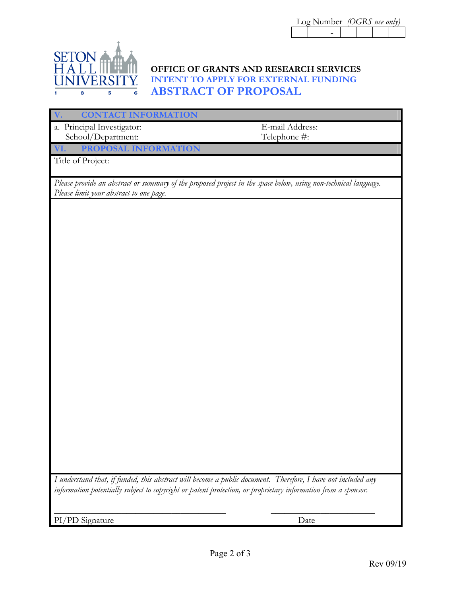|  |  | Log Number (OGRS use only) |  |  |  |  |
|--|--|----------------------------|--|--|--|--|
|  |  |                            |  |  |  |  |



## **OFFICE OF GRANTS AND RESEARCH SERVICES INTENT TO APPLY FOR EXTERNAL FUNDING ABSTRACT OF PROPOSAL**

 $\overline{L}$ 

| <b>CONTACT INFORMATION</b>                                                                                      |                 |
|-----------------------------------------------------------------------------------------------------------------|-----------------|
| a. Principal Investigator:                                                                                      | E-mail Address: |
| School/Department:                                                                                              | Telephone #:    |
| PROPOSAL INFORMATION<br>VI.                                                                                     |                 |
| Title of Project:                                                                                               |                 |
|                                                                                                                 |                 |
| Please provide an abstract or summary of the proposed project in the space below, using non-technical language. |                 |
| Please limit your abstract to one page.                                                                         |                 |
|                                                                                                                 |                 |
|                                                                                                                 |                 |
|                                                                                                                 |                 |
|                                                                                                                 |                 |
|                                                                                                                 |                 |
|                                                                                                                 |                 |
|                                                                                                                 |                 |
|                                                                                                                 |                 |
|                                                                                                                 |                 |
|                                                                                                                 |                 |
|                                                                                                                 |                 |
|                                                                                                                 |                 |
|                                                                                                                 |                 |
|                                                                                                                 |                 |
|                                                                                                                 |                 |
|                                                                                                                 |                 |
|                                                                                                                 |                 |
|                                                                                                                 |                 |
|                                                                                                                 |                 |
|                                                                                                                 |                 |
|                                                                                                                 |                 |
|                                                                                                                 |                 |
|                                                                                                                 |                 |
|                                                                                                                 |                 |
| I understand that, if funded, this abstract will become a public document. Therefore, I have not included any   |                 |
| information potentially subject to copyright or patent protection, or proprietary information from a sponsor.   |                 |
|                                                                                                                 |                 |
|                                                                                                                 |                 |
| PI/PD Signature                                                                                                 | Date            |